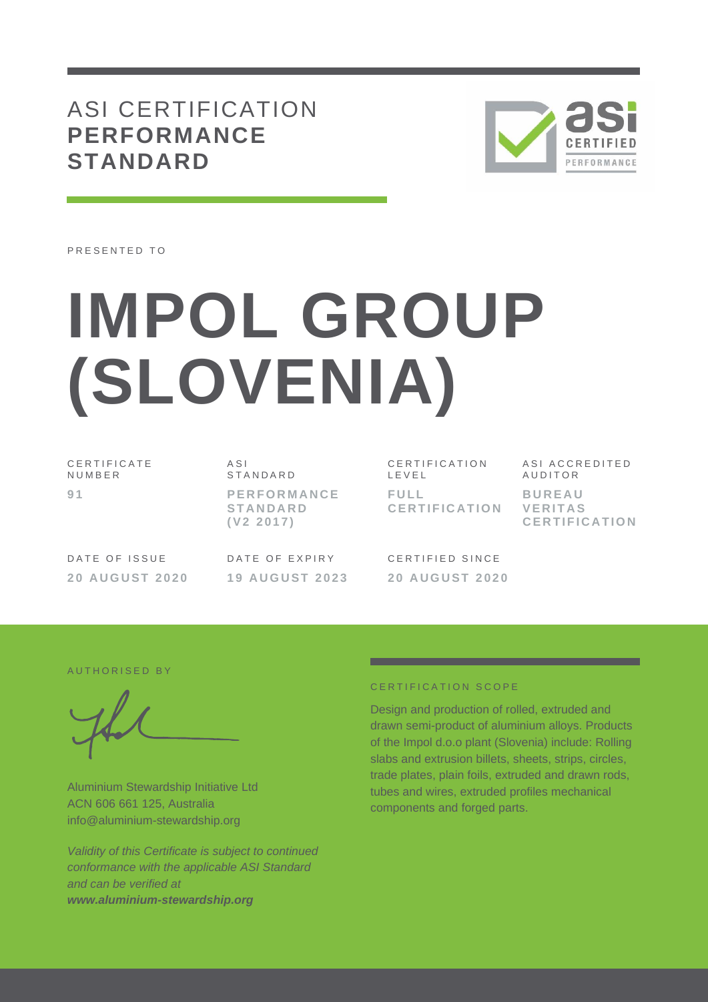# ASI CERTIFICATION **PERFORMANCE STANDARD**



PRESENTED TO

# **IMPOL GROUP (SLOVENIA)**

C E R T I F I C A T E N U M B E R **9 1**

A S I **STANDARD P E R F O R M A N C E S T A N D A R D ( V 2 2 0 1 7 )**

C E R T I F I C A T I O N L E V E L **F U L L C E R T I F I C A T I O N** ASI ACCREDITED **AUDITOR B U R E A U V E R I T A S C E R T I F I C A T I O N**

DATE OF ISSUE **2 0 A U G U S T 2 0 2 0** DATE OF EXPIRY **1 9 A U G U S T 2 0 2 3** CERTIFIED SINCE **2 0 A U G U S T 2 0 2 0**

AUTHORISED BY

Aluminium Stewardship Initiative Ltd ACN 606 661 125, Australia info@aluminium-stewardship.org

*Validity of this Certificate is subject to continued conformance with the applicable ASI Standard and can be verified at www.aluminium-stewardship.org*

#### C E R T I F I C A T I O N S C O P F

Design and production of rolled, extruded and drawn semi-product of aluminium alloys. Products of the Impol d.o.o plant (Slovenia) include: Rolling slabs and extrusion billets, sheets, strips, circles, trade plates, plain foils, extruded and drawn rods, tubes and wires, extruded profiles mechanical components and forged parts.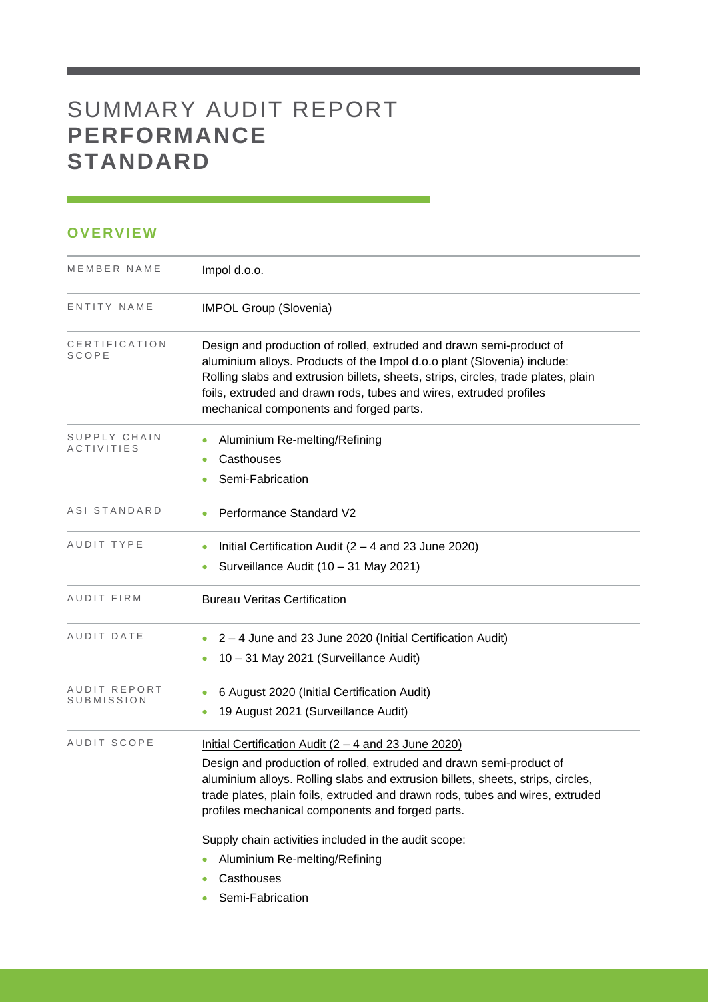# SUMMARY AUDIT REPORT **PERFORMANCE STANDARD**

## **OVERVIEW**

| MEMBER NAME                | Impol d.o.o.                                                                                                                                                                                                                                                                                                                                                                                                                                                 |  |  |
|----------------------------|--------------------------------------------------------------------------------------------------------------------------------------------------------------------------------------------------------------------------------------------------------------------------------------------------------------------------------------------------------------------------------------------------------------------------------------------------------------|--|--|
| ENTITY NAME                | <b>IMPOL Group (Slovenia)</b>                                                                                                                                                                                                                                                                                                                                                                                                                                |  |  |
| CERTIFICATION<br>SCOPE     | Design and production of rolled, extruded and drawn semi-product of<br>aluminium alloys. Products of the Impol d.o.o plant (Slovenia) include:<br>Rolling slabs and extrusion billets, sheets, strips, circles, trade plates, plain<br>foils, extruded and drawn rods, tubes and wires, extruded profiles<br>mechanical components and forged parts.                                                                                                         |  |  |
| SUPPLY CHAIN<br>ACTIVITIES | Aluminium Re-melting/Refining<br>Casthouses<br>۰<br>Semi-Fabrication                                                                                                                                                                                                                                                                                                                                                                                         |  |  |
| ASI STANDARD               | <b>Performance Standard V2</b>                                                                                                                                                                                                                                                                                                                                                                                                                               |  |  |
| AUDIT TYPE                 | Initial Certification Audit $(2 - 4$ and 23 June 2020)<br>Surveillance Audit (10 - 31 May 2021)<br>$\bullet$                                                                                                                                                                                                                                                                                                                                                 |  |  |
| AUDIT FIRM                 | <b>Bureau Veritas Certification</b>                                                                                                                                                                                                                                                                                                                                                                                                                          |  |  |
| AUDIT DATE                 | 2 – 4 June and 23 June 2020 (Initial Certification Audit)<br>10 - 31 May 2021 (Surveillance Audit)                                                                                                                                                                                                                                                                                                                                                           |  |  |
| AUDIT REPORT<br>SUBMISSION | 6 August 2020 (Initial Certification Audit)<br>19 August 2021 (Surveillance Audit)<br>٠                                                                                                                                                                                                                                                                                                                                                                      |  |  |
| <b>AUDIT SCOPE</b>         | Initial Certification Audit $(2 - 4$ and 23 June 2020)<br>Design and production of rolled, extruded and drawn semi-product of<br>aluminium alloys. Rolling slabs and extrusion billets, sheets, strips, circles,<br>trade plates, plain foils, extruded and drawn rods, tubes and wires, extruded<br>profiles mechanical components and forged parts.<br>Supply chain activities included in the audit scope:<br>Aluminium Re-melting/Refining<br>Casthouses |  |  |
|                            |                                                                                                                                                                                                                                                                                                                                                                                                                                                              |  |  |

and the control of the control of the control of

• Semi-Fabrication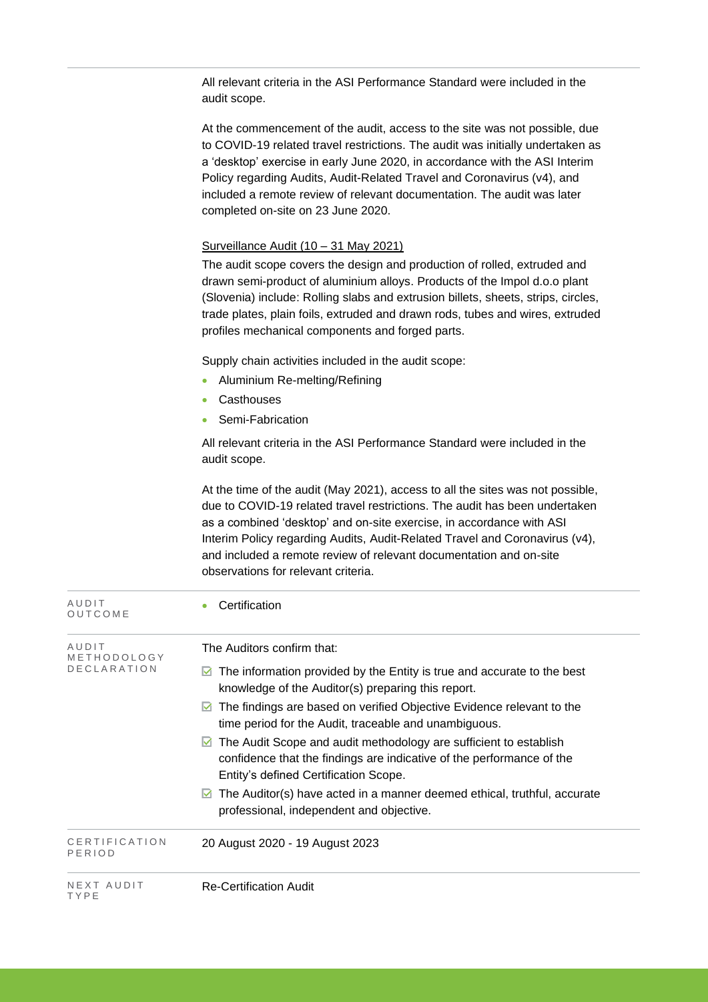All relevant criteria in the ASI Performance Standard were included in the audit scope.

At the commencement of the audit, access to the site was not possible, due to COVID-19 related travel restrictions. The audit was initially undertaken as a 'desktop' exercise in early June 2020, in accordance with the ASI Interim Policy regarding Audits, Audit-Related Travel and Coronavirus (v4), and included a remote review of relevant documentation. The audit was later completed on-site on 23 June 2020.

#### Surveillance Audit (10 – 31 May 2021)

The audit scope covers the design and production of rolled, extruded and drawn semi-product of aluminium alloys. Products of the Impol d.o.o plant (Slovenia) include: Rolling slabs and extrusion billets, sheets, strips, circles, trade plates, plain foils, extruded and drawn rods, tubes and wires, extruded profiles mechanical components and forged parts.

Supply chain activities included in the audit scope:

- Aluminium Re-melting/Refining
- Casthouses
- Semi-Fabrication

All relevant criteria in the ASI Performance Standard were included in the audit scope.

At the time of the audit (May 2021), access to all the sites was not possible, due to COVID-19 related travel restrictions. The audit has been undertaken as a combined 'desktop' and on-site exercise, in accordance with ASI Interim Policy regarding Audits, Audit-Related Travel and Coronavirus (v4), and included a remote review of relevant documentation and on-site observations for relevant criteria.

| AUDIT<br>OUTCOME        | Certification                                                                                                                                                                            |
|-------------------------|------------------------------------------------------------------------------------------------------------------------------------------------------------------------------------------|
| AUDIT<br>METHODOLOGY    | The Auditors confirm that:                                                                                                                                                               |
| <b>DECLARATION</b>      | The information provided by the Entity is true and accurate to the best<br>M<br>knowledge of the Auditor(s) preparing this report.                                                       |
|                         | The findings are based on verified Objective Evidence relevant to the<br>M<br>time period for the Audit, traceable and unambiguous.                                                      |
|                         | The Audit Scope and audit methodology are sufficient to establish<br>M<br>confidence that the findings are indicative of the performance of the<br>Entity's defined Certification Scope. |
|                         | $\boxtimes$ The Auditor(s) have acted in a manner deemed ethical, truthful, accurate<br>professional, independent and objective.                                                         |
| CERTIFICATION<br>PERIOD | 20 August 2020 - 19 August 2023                                                                                                                                                          |
| NEXT AUDIT<br>TYPE      | <b>Re-Certification Audit</b>                                                                                                                                                            |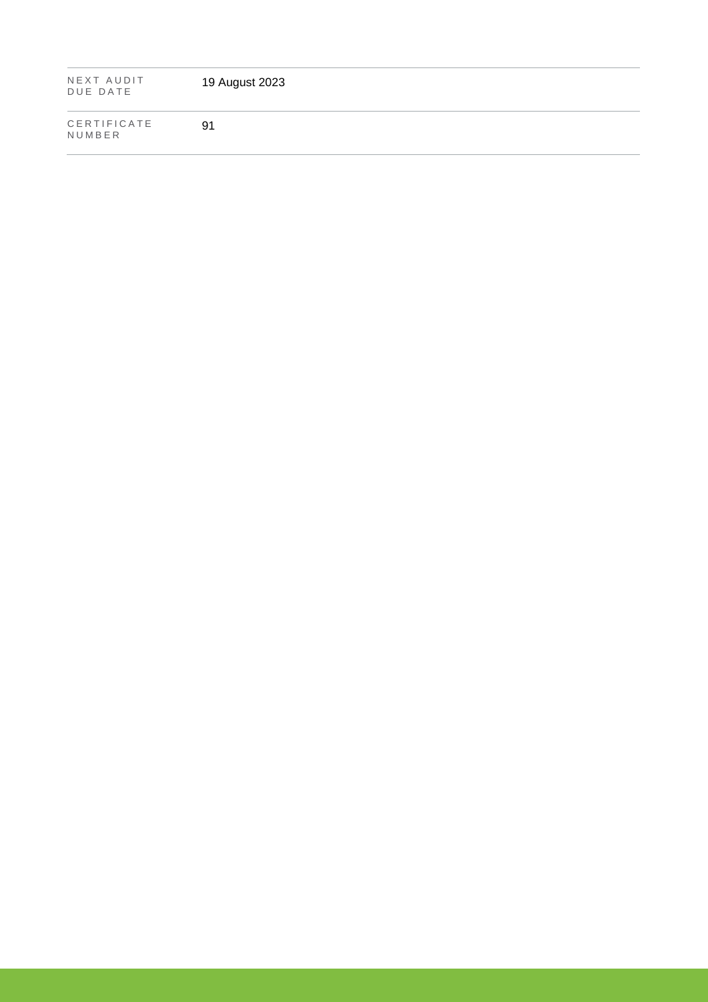| NEXT AUDIT<br>DUE DATE | 19 August 2023 |
|------------------------|----------------|
| CERTIFICATE<br>NUMBER  | 91             |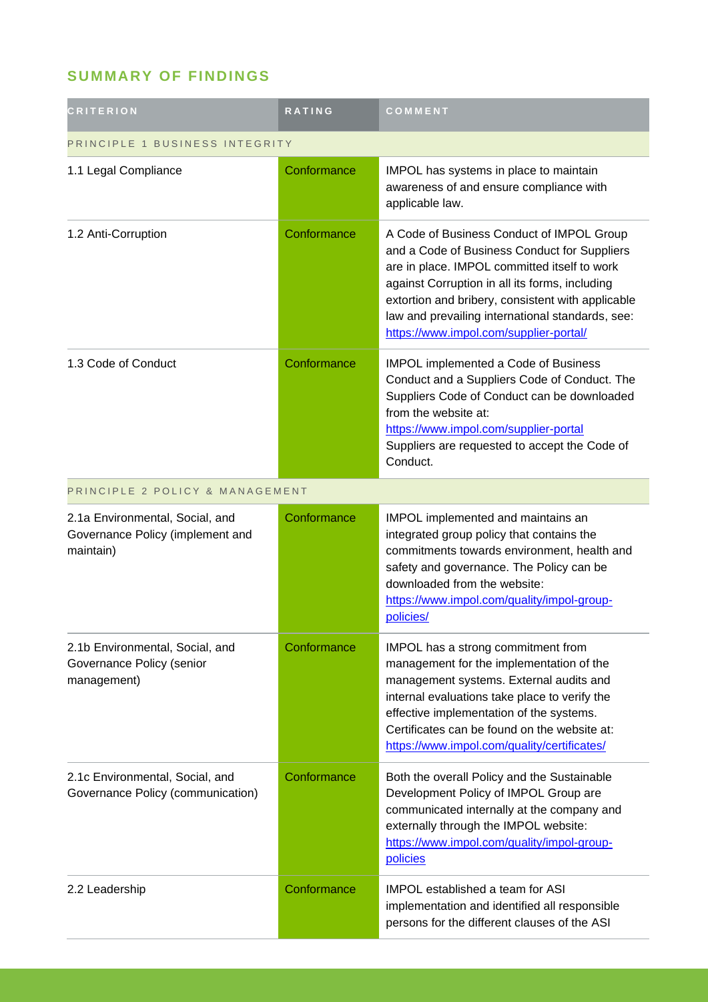## **SUMMARY OF FINDINGS**

| <b>CRITERION</b>                                                                 | RATING      | COMMENT                                                                                                                                                                                                                                                                                                                                        |  |
|----------------------------------------------------------------------------------|-------------|------------------------------------------------------------------------------------------------------------------------------------------------------------------------------------------------------------------------------------------------------------------------------------------------------------------------------------------------|--|
| PRINCIPLE 1 BUSINESS INTEGRITY                                                   |             |                                                                                                                                                                                                                                                                                                                                                |  |
| 1.1 Legal Compliance                                                             | Conformance | IMPOL has systems in place to maintain<br>awareness of and ensure compliance with<br>applicable law.                                                                                                                                                                                                                                           |  |
| 1.2 Anti-Corruption                                                              | Conformance | A Code of Business Conduct of IMPOL Group<br>and a Code of Business Conduct for Suppliers<br>are in place. IMPOL committed itself to work<br>against Corruption in all its forms, including<br>extortion and bribery, consistent with applicable<br>law and prevailing international standards, see:<br>https://www.impol.com/supplier-portal/ |  |
| 1.3 Code of Conduct                                                              | Conformance | IMPOL implemented a Code of Business<br>Conduct and a Suppliers Code of Conduct. The<br>Suppliers Code of Conduct can be downloaded<br>from the website at:<br>https://www.impol.com/supplier-portal<br>Suppliers are requested to accept the Code of<br>Conduct.                                                                              |  |
| PRINCIPLE 2 POLICY & MANAGEMENT                                                  |             |                                                                                                                                                                                                                                                                                                                                                |  |
| 2.1a Environmental, Social, and<br>Governance Policy (implement and<br>maintain) | Conformance | IMPOL implemented and maintains an<br>integrated group policy that contains the<br>commitments towards environment, health and<br>safety and governance. The Policy can be<br>downloaded from the website:<br>https://www.impol.com/quality/impol-group-<br>policies/                                                                          |  |
| 2.1b Environmental, Social, and<br>Governance Policy (senior<br>management)      | Conformance | IMPOL has a strong commitment from<br>management for the implementation of the<br>management systems. External audits and<br>internal evaluations take place to verify the<br>effective implementation of the systems.<br>Certificates can be found on the website at:<br>https://www.impol.com/quality/certificates/                          |  |
| 2.1c Environmental, Social, and<br>Governance Policy (communication)             | Conformance | Both the overall Policy and the Sustainable<br>Development Policy of IMPOL Group are<br>communicated internally at the company and<br>externally through the IMPOL website:<br>https://www.impol.com/quality/impol-group-<br>policies                                                                                                          |  |
| 2.2 Leadership                                                                   | Conformance | <b>IMPOL</b> established a team for ASI<br>implementation and identified all responsible<br>persons for the different clauses of the ASI                                                                                                                                                                                                       |  |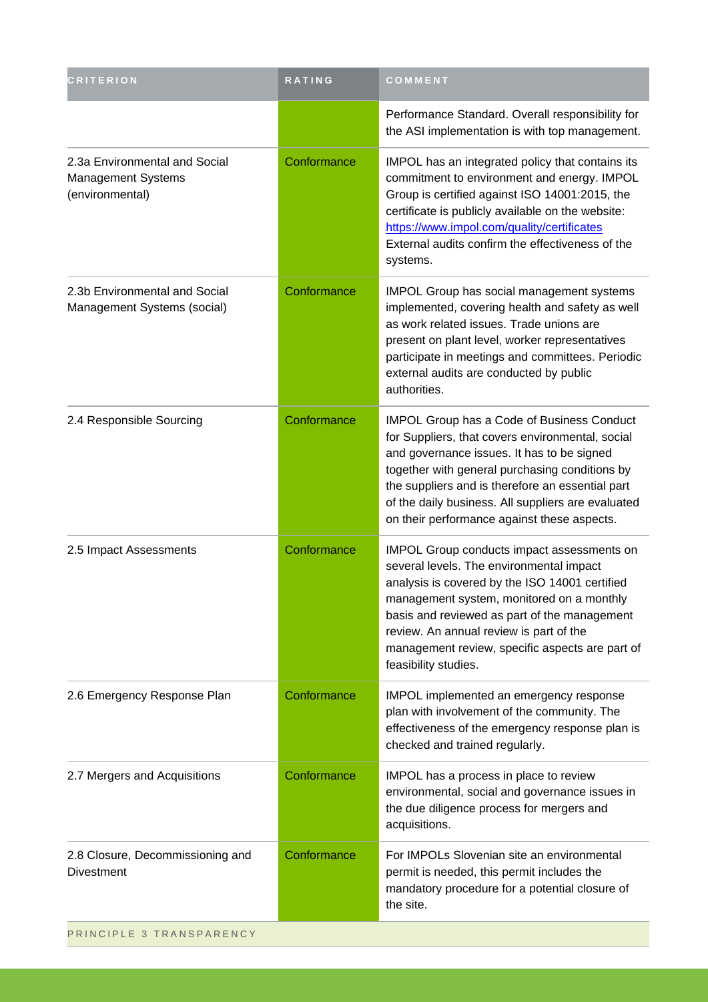| <b>CRITERION</b>                                                              | RATING      | COMMENT                                                                                                                                                                                                                                                                                                                                                     |  |
|-------------------------------------------------------------------------------|-------------|-------------------------------------------------------------------------------------------------------------------------------------------------------------------------------------------------------------------------------------------------------------------------------------------------------------------------------------------------------------|--|
|                                                                               |             | Performance Standard. Overall responsibility for<br>the ASI implementation is with top management.                                                                                                                                                                                                                                                          |  |
| 2.3a Environmental and Social<br><b>Management Systems</b><br>(environmental) | Conformance | IMPOL has an integrated policy that contains its<br>commitment to environment and energy. IMPOL<br>Group is certified against ISO 14001:2015, the<br>certificate is publicly available on the website:<br>https://www.impol.com/quality/certificates<br>External audits confirm the effectiveness of the<br>systems.                                        |  |
| 2.3b Environmental and Social<br>Management Systems (social)                  | Conformance | <b>IMPOL Group has social management systems</b><br>implemented, covering health and safety as well<br>as work related issues. Trade unions are<br>present on plant level, worker representatives<br>participate in meetings and committees. Periodic<br>external audits are conducted by public<br>authorities.                                            |  |
| 2.4 Responsible Sourcing                                                      | Conformance | IMPOL Group has a Code of Business Conduct<br>for Suppliers, that covers environmental, social<br>and governance issues. It has to be signed<br>together with general purchasing conditions by<br>the suppliers and is therefore an essential part<br>of the daily business. All suppliers are evaluated<br>on their performance against these aspects.     |  |
| 2.5 Impact Assessments                                                        | Conformance | IMPOL Group conducts impact assessments on<br>several levels. The environmental impact<br>analysis is covered by the ISO 14001 certified<br>management system, monitored on a monthly<br>basis and reviewed as part of the management<br>review. An annual review is part of the<br>management review, specific aspects are part of<br>feasibility studies. |  |
| 2.6 Emergency Response Plan                                                   | Conformance | IMPOL implemented an emergency response<br>plan with involvement of the community. The<br>effectiveness of the emergency response plan is<br>checked and trained regularly.                                                                                                                                                                                 |  |
| 2.7 Mergers and Acquisitions                                                  | Conformance | IMPOL has a process in place to review<br>environmental, social and governance issues in<br>the due diligence process for mergers and<br>acquisitions.                                                                                                                                                                                                      |  |
| 2.8 Closure, Decommissioning and<br><b>Divestment</b>                         | Conformance | For IMPOLs Slovenian site an environmental<br>permit is needed, this permit includes the<br>mandatory procedure for a potential closure of<br>the site.                                                                                                                                                                                                     |  |
| PRINCIPLE 3 TRANSPARENCY                                                      |             |                                                                                                                                                                                                                                                                                                                                                             |  |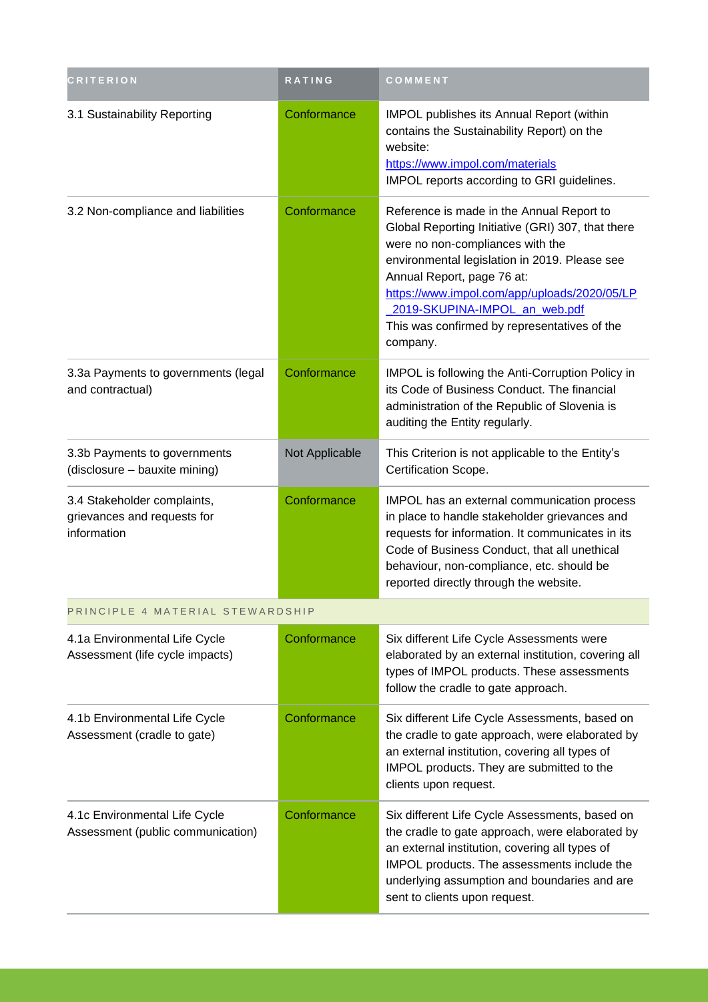| <b>CRITERION</b>                                                          | <b>RATING</b>  | COMMENT                                                                                                                                                                                                                                                                                                                                                        |
|---------------------------------------------------------------------------|----------------|----------------------------------------------------------------------------------------------------------------------------------------------------------------------------------------------------------------------------------------------------------------------------------------------------------------------------------------------------------------|
| 3.1 Sustainability Reporting                                              | Conformance    | IMPOL publishes its Annual Report (within<br>contains the Sustainability Report) on the<br>website:<br>https://www.impol.com/materials<br>IMPOL reports according to GRI guidelines.                                                                                                                                                                           |
| 3.2 Non-compliance and liabilities                                        | Conformance    | Reference is made in the Annual Report to<br>Global Reporting Initiative (GRI) 307, that there<br>were no non-compliances with the<br>environmental legislation in 2019. Please see<br>Annual Report, page 76 at:<br>https://www.impol.com/app/uploads/2020/05/LP<br>2019-SKUPINA-IMPOL_an_web.pdf<br>This was confirmed by representatives of the<br>company. |
| 3.3a Payments to governments (legal<br>and contractual)                   | Conformance    | IMPOL is following the Anti-Corruption Policy in<br>its Code of Business Conduct. The financial<br>administration of the Republic of Slovenia is<br>auditing the Entity regularly.                                                                                                                                                                             |
| 3.3b Payments to governments<br>(disclosure - bauxite mining)             | Not Applicable | This Criterion is not applicable to the Entity's<br>Certification Scope.                                                                                                                                                                                                                                                                                       |
| 3.4 Stakeholder complaints,<br>grievances and requests for<br>information | Conformance    | IMPOL has an external communication process<br>in place to handle stakeholder grievances and<br>requests for information. It communicates in its<br>Code of Business Conduct, that all unethical<br>behaviour, non-compliance, etc. should be<br>reported directly through the website.                                                                        |
| PRINCIPLE 4 MATERIAL STEWARDSHIP                                          |                |                                                                                                                                                                                                                                                                                                                                                                |
| 4.1a Environmental Life Cycle<br>Assessment (life cycle impacts)          | Conformance    | Six different Life Cycle Assessments were<br>elaborated by an external institution, covering all<br>types of IMPOL products. These assessments<br>follow the cradle to gate approach.                                                                                                                                                                          |
| 4.1b Environmental Life Cycle<br>Assessment (cradle to gate)              | Conformance    | Six different Life Cycle Assessments, based on<br>the cradle to gate approach, were elaborated by<br>an external institution, covering all types of<br>IMPOL products. They are submitted to the<br>clients upon request.                                                                                                                                      |
| 4.1c Environmental Life Cycle<br>Assessment (public communication)        | Conformance    | Six different Life Cycle Assessments, based on<br>the cradle to gate approach, were elaborated by<br>an external institution, covering all types of<br>IMPOL products. The assessments include the<br>underlying assumption and boundaries and are<br>sent to clients upon request.                                                                            |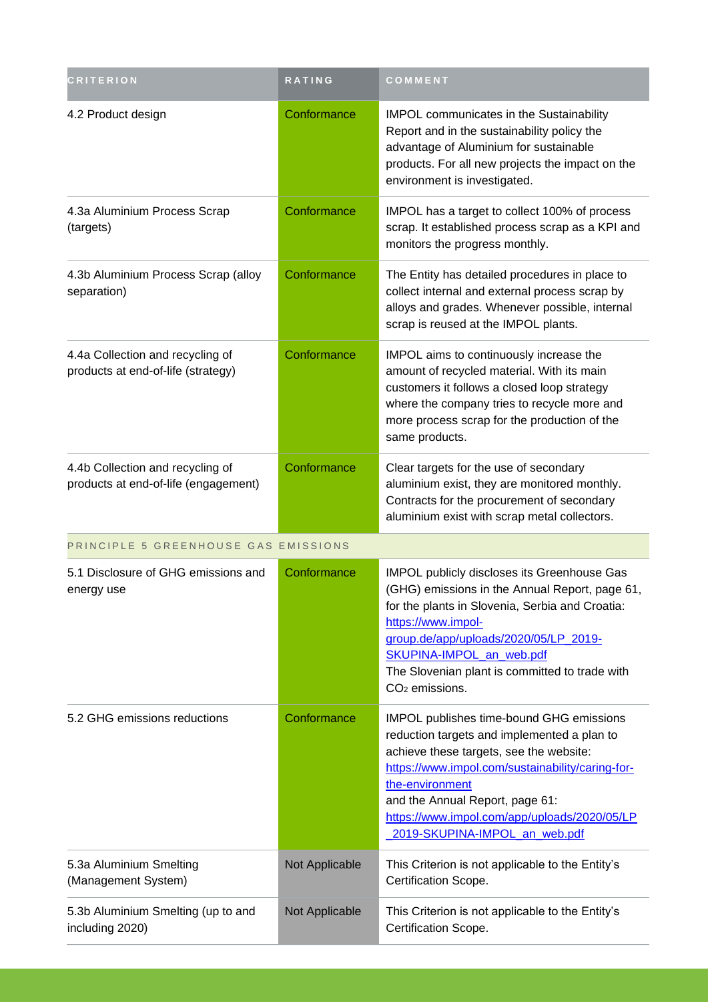| <b>CRITERION</b>                                                         | RATING         | COMMENT                                                                                                                                                                                                                                                                                                                       |
|--------------------------------------------------------------------------|----------------|-------------------------------------------------------------------------------------------------------------------------------------------------------------------------------------------------------------------------------------------------------------------------------------------------------------------------------|
| 4.2 Product design                                                       | Conformance    | IMPOL communicates in the Sustainability<br>Report and in the sustainability policy the<br>advantage of Aluminium for sustainable<br>products. For all new projects the impact on the<br>environment is investigated.                                                                                                         |
| 4.3a Aluminium Process Scrap<br>(targets)                                | Conformance    | IMPOL has a target to collect 100% of process<br>scrap. It established process scrap as a KPI and<br>monitors the progress monthly.                                                                                                                                                                                           |
| 4.3b Aluminium Process Scrap (alloy<br>separation)                       | Conformance    | The Entity has detailed procedures in place to<br>collect internal and external process scrap by<br>alloys and grades. Whenever possible, internal<br>scrap is reused at the IMPOL plants.                                                                                                                                    |
| 4.4a Collection and recycling of<br>products at end-of-life (strategy)   | Conformance    | IMPOL aims to continuously increase the<br>amount of recycled material. With its main<br>customers it follows a closed loop strategy<br>where the company tries to recycle more and<br>more process scrap for the production of the<br>same products.                                                                         |
| 4.4b Collection and recycling of<br>products at end-of-life (engagement) | Conformance    | Clear targets for the use of secondary<br>aluminium exist, they are monitored monthly.<br>Contracts for the procurement of secondary<br>aluminium exist with scrap metal collectors.                                                                                                                                          |
| PRINCIPLE 5 GREENHOUSE GAS EMISSIONS                                     |                |                                                                                                                                                                                                                                                                                                                               |
| 5.1 Disclosure of GHG emissions and<br>energy use                        | Conformance    | IMPOL publicly discloses its Greenhouse Gas<br>(GHG) emissions in the Annual Report, page 61,<br>for the plants in Slovenia, Serbia and Croatia:<br>https://www.impol-<br>group.de/app/uploads/2020/05/LP_2019-<br>SKUPINA-IMPOL an web.pdf<br>The Slovenian plant is committed to trade with<br>$CO2$ emissions.             |
| 5.2 GHG emissions reductions                                             | Conformance    | IMPOL publishes time-bound GHG emissions<br>reduction targets and implemented a plan to<br>achieve these targets, see the website:<br>https://www.impol.com/sustainability/caring-for-<br>the-environment<br>and the Annual Report, page 61:<br>https://www.impol.com/app/uploads/2020/05/LP<br>2019-SKUPINA-IMPOL_an_web.pdf |
| 5.3a Aluminium Smelting<br>(Management System)                           | Not Applicable | This Criterion is not applicable to the Entity's<br>Certification Scope.                                                                                                                                                                                                                                                      |
| 5.3b Aluminium Smelting (up to and<br>including 2020)                    | Not Applicable | This Criterion is not applicable to the Entity's<br>Certification Scope.                                                                                                                                                                                                                                                      |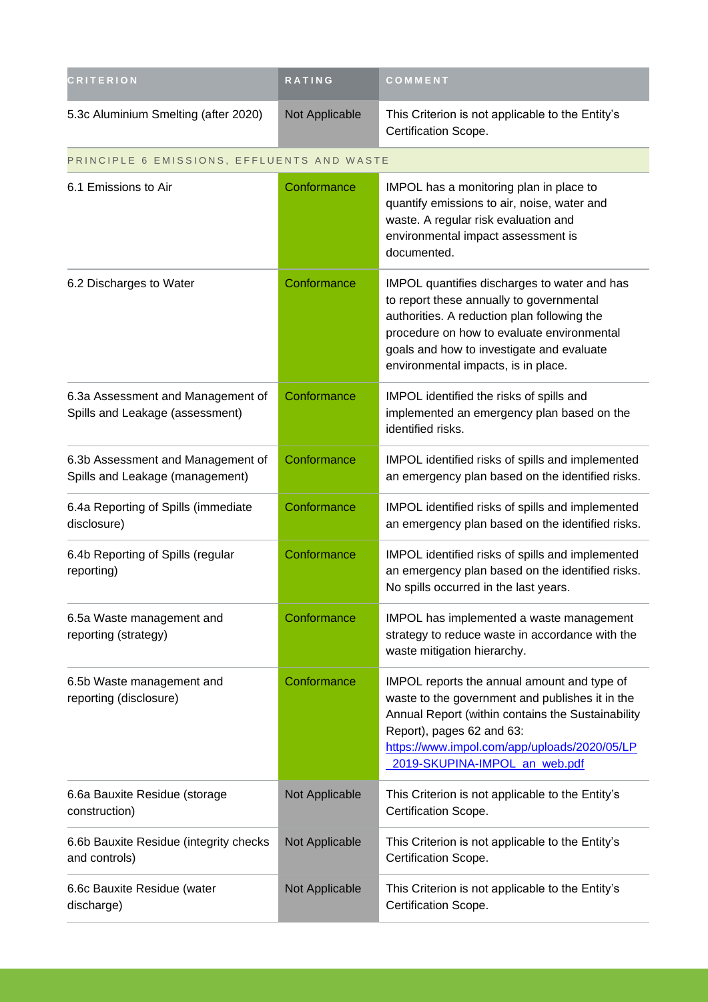| <b>CRITERION</b>                                                     | RATING         | COMMENT                                                                                                                                                                                                                                                                   |
|----------------------------------------------------------------------|----------------|---------------------------------------------------------------------------------------------------------------------------------------------------------------------------------------------------------------------------------------------------------------------------|
| 5.3c Aluminium Smelting (after 2020)                                 | Not Applicable | This Criterion is not applicable to the Entity's<br>Certification Scope.                                                                                                                                                                                                  |
| PRINCIPLE 6 EMISSIONS, EFFLUENTS AND WASTE                           |                |                                                                                                                                                                                                                                                                           |
| 6.1 Emissions to Air                                                 | Conformance    | IMPOL has a monitoring plan in place to<br>quantify emissions to air, noise, water and<br>waste. A regular risk evaluation and<br>environmental impact assessment is<br>documented.                                                                                       |
| 6.2 Discharges to Water                                              | Conformance    | IMPOL quantifies discharges to water and has<br>to report these annually to governmental<br>authorities. A reduction plan following the<br>procedure on how to evaluate environmental<br>goals and how to investigate and evaluate<br>environmental impacts, is in place. |
| 6.3a Assessment and Management of<br>Spills and Leakage (assessment) | Conformance    | IMPOL identified the risks of spills and<br>implemented an emergency plan based on the<br>identified risks.                                                                                                                                                               |
| 6.3b Assessment and Management of<br>Spills and Leakage (management) | Conformance    | IMPOL identified risks of spills and implemented<br>an emergency plan based on the identified risks.                                                                                                                                                                      |
| 6.4a Reporting of Spills (immediate<br>disclosure)                   | Conformance    | IMPOL identified risks of spills and implemented<br>an emergency plan based on the identified risks.                                                                                                                                                                      |
| 6.4b Reporting of Spills (regular<br>reporting)                      | Conformance    | IMPOL identified risks of spills and implemented<br>an emergency plan based on the identified risks.<br>No spills occurred in the last years.                                                                                                                             |
| 6.5a Waste management and<br>reporting (strategy)                    | Conformance    | IMPOL has implemented a waste management<br>strategy to reduce waste in accordance with the<br>waste mitigation hierarchy.                                                                                                                                                |
| 6.5b Waste management and<br>reporting (disclosure)                  | Conformance    | IMPOL reports the annual amount and type of<br>waste to the government and publishes it in the<br>Annual Report (within contains the Sustainability<br>Report), pages 62 and 63:<br>https://www.impol.com/app/uploads/2020/05/LP<br>2019-SKUPINA-IMPOL_an_web.pdf         |
| 6.6a Bauxite Residue (storage<br>construction)                       | Not Applicable | This Criterion is not applicable to the Entity's<br>Certification Scope.                                                                                                                                                                                                  |
| 6.6b Bauxite Residue (integrity checks<br>and controls)              | Not Applicable | This Criterion is not applicable to the Entity's<br>Certification Scope.                                                                                                                                                                                                  |
| 6.6c Bauxite Residue (water<br>discharge)                            | Not Applicable | This Criterion is not applicable to the Entity's<br>Certification Scope.                                                                                                                                                                                                  |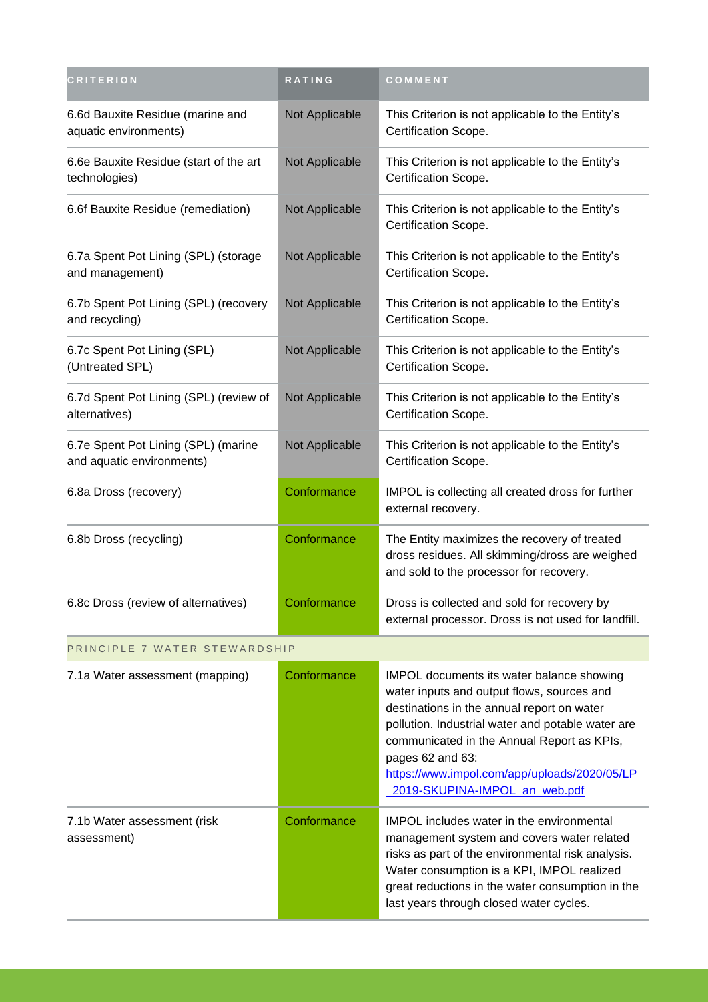| <b>CRITERION</b>                                                 | RATING         | COMMENT                                                                                                                                                                                                                                                                                                                                       |
|------------------------------------------------------------------|----------------|-----------------------------------------------------------------------------------------------------------------------------------------------------------------------------------------------------------------------------------------------------------------------------------------------------------------------------------------------|
| 6.6d Bauxite Residue (marine and<br>aquatic environments)        | Not Applicable | This Criterion is not applicable to the Entity's<br>Certification Scope.                                                                                                                                                                                                                                                                      |
| 6.6e Bauxite Residue (start of the art<br>technologies)          | Not Applicable | This Criterion is not applicable to the Entity's<br>Certification Scope.                                                                                                                                                                                                                                                                      |
| 6.6f Bauxite Residue (remediation)                               | Not Applicable | This Criterion is not applicable to the Entity's<br>Certification Scope.                                                                                                                                                                                                                                                                      |
| 6.7a Spent Pot Lining (SPL) (storage<br>and management)          | Not Applicable | This Criterion is not applicable to the Entity's<br>Certification Scope.                                                                                                                                                                                                                                                                      |
| 6.7b Spent Pot Lining (SPL) (recovery<br>and recycling)          | Not Applicable | This Criterion is not applicable to the Entity's<br>Certification Scope.                                                                                                                                                                                                                                                                      |
| 6.7c Spent Pot Lining (SPL)<br>(Untreated SPL)                   | Not Applicable | This Criterion is not applicable to the Entity's<br>Certification Scope.                                                                                                                                                                                                                                                                      |
| 6.7d Spent Pot Lining (SPL) (review of<br>alternatives)          | Not Applicable | This Criterion is not applicable to the Entity's<br>Certification Scope.                                                                                                                                                                                                                                                                      |
| 6.7e Spent Pot Lining (SPL) (marine<br>and aquatic environments) | Not Applicable | This Criterion is not applicable to the Entity's<br>Certification Scope.                                                                                                                                                                                                                                                                      |
| 6.8a Dross (recovery)                                            | Conformance    | IMPOL is collecting all created dross for further<br>external recovery.                                                                                                                                                                                                                                                                       |
| 6.8b Dross (recycling)                                           | Conformance    | The Entity maximizes the recovery of treated<br>dross residues. All skimming/dross are weighed<br>and sold to the processor for recovery.                                                                                                                                                                                                     |
| 6.8c Dross (review of alternatives)                              | Conformance    | Dross is collected and sold for recovery by<br>external processor. Dross is not used for landfill.                                                                                                                                                                                                                                            |
| PRINCIPLE 7 WATER STEWARDSHIP                                    |                |                                                                                                                                                                                                                                                                                                                                               |
| 7.1a Water assessment (mapping)                                  | Conformance    | IMPOL documents its water balance showing<br>water inputs and output flows, sources and<br>destinations in the annual report on water<br>pollution. Industrial water and potable water are<br>communicated in the Annual Report as KPIs,<br>pages 62 and 63:<br>https://www.impol.com/app/uploads/2020/05/LP<br>2019-SKUPINA-IMPOL_an_web.pdf |
| 7.1b Water assessment (risk<br>assessment)                       | Conformance    | <b>IMPOL</b> includes water in the environmental<br>management system and covers water related<br>risks as part of the environmental risk analysis.<br>Water consumption is a KPI, IMPOL realized<br>great reductions in the water consumption in the<br>last years through closed water cycles.                                              |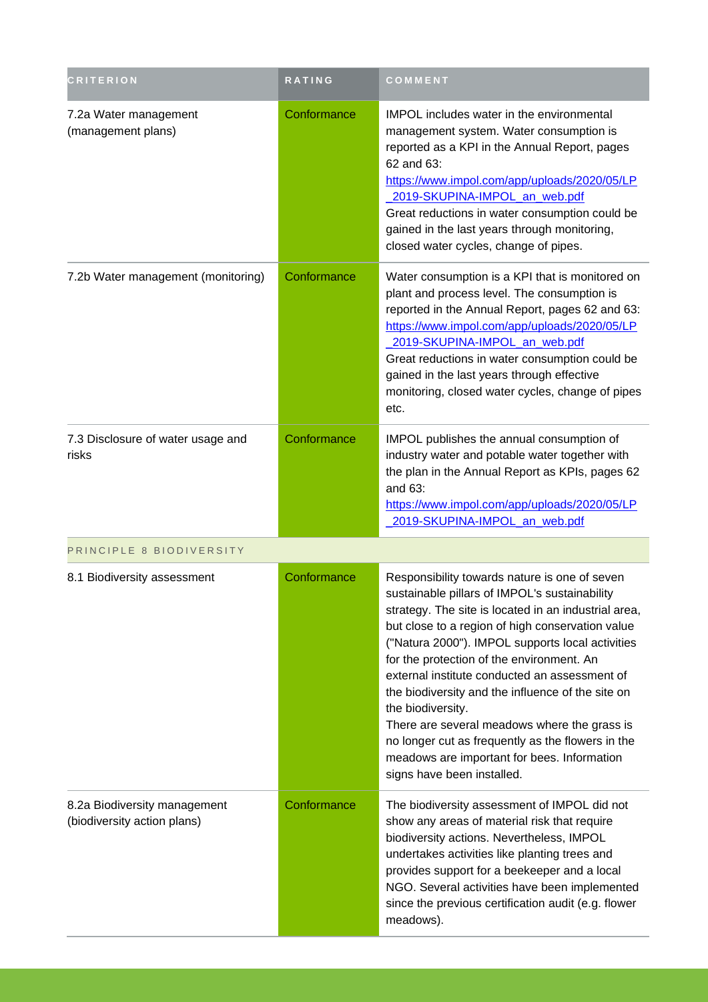| <b>CRITERION</b>                                            | RATING      | COMMENT                                                                                                                                                                                                                                                                                                                                                                                                                                                                                                                                                                                                                  |
|-------------------------------------------------------------|-------------|--------------------------------------------------------------------------------------------------------------------------------------------------------------------------------------------------------------------------------------------------------------------------------------------------------------------------------------------------------------------------------------------------------------------------------------------------------------------------------------------------------------------------------------------------------------------------------------------------------------------------|
| 7.2a Water management<br>(management plans)                 | Conformance | <b>IMPOL</b> includes water in the environmental<br>management system. Water consumption is<br>reported as a KPI in the Annual Report, pages<br>62 and 63:<br>https://www.impol.com/app/uploads/2020/05/LP<br>2019-SKUPINA-IMPOL_an_web.pdf<br>Great reductions in water consumption could be<br>gained in the last years through monitoring,<br>closed water cycles, change of pipes.                                                                                                                                                                                                                                   |
| 7.2b Water management (monitoring)                          | Conformance | Water consumption is a KPI that is monitored on<br>plant and process level. The consumption is<br>reported in the Annual Report, pages 62 and 63:<br>https://www.impol.com/app/uploads/2020/05/LP<br>2019-SKUPINA-IMPOL_an_web.pdf<br>Great reductions in water consumption could be<br>gained in the last years through effective<br>monitoring, closed water cycles, change of pipes<br>etc.                                                                                                                                                                                                                           |
| 7.3 Disclosure of water usage and<br>risks                  | Conformance | IMPOL publishes the annual consumption of<br>industry water and potable water together with<br>the plan in the Annual Report as KPIs, pages 62<br>and 63:<br>https://www.impol.com/app/uploads/2020/05/LP<br>_2019-SKUPINA-IMPOL_an_web.pdf                                                                                                                                                                                                                                                                                                                                                                              |
| PRINCIPLE 8 BIODIVERSITY                                    |             |                                                                                                                                                                                                                                                                                                                                                                                                                                                                                                                                                                                                                          |
| 8.1 Biodiversity assessment                                 | Conformance | Responsibility towards nature is one of seven<br>sustainable pillars of IMPOL's sustainability<br>strategy. The site is located in an industrial area,<br>but close to a region of high conservation value<br>("Natura 2000"). IMPOL supports local activities<br>for the protection of the environment. An<br>external institute conducted an assessment of<br>the biodiversity and the influence of the site on<br>the biodiversity.<br>There are several meadows where the grass is<br>no longer cut as frequently as the flowers in the<br>meadows are important for bees. Information<br>signs have been installed. |
| 8.2a Biodiversity management<br>(biodiversity action plans) | Conformance | The biodiversity assessment of IMPOL did not<br>show any areas of material risk that require<br>biodiversity actions. Nevertheless, IMPOL<br>undertakes activities like planting trees and<br>provides support for a beekeeper and a local<br>NGO. Several activities have been implemented<br>since the previous certification audit (e.g. flower<br>meadows).                                                                                                                                                                                                                                                          |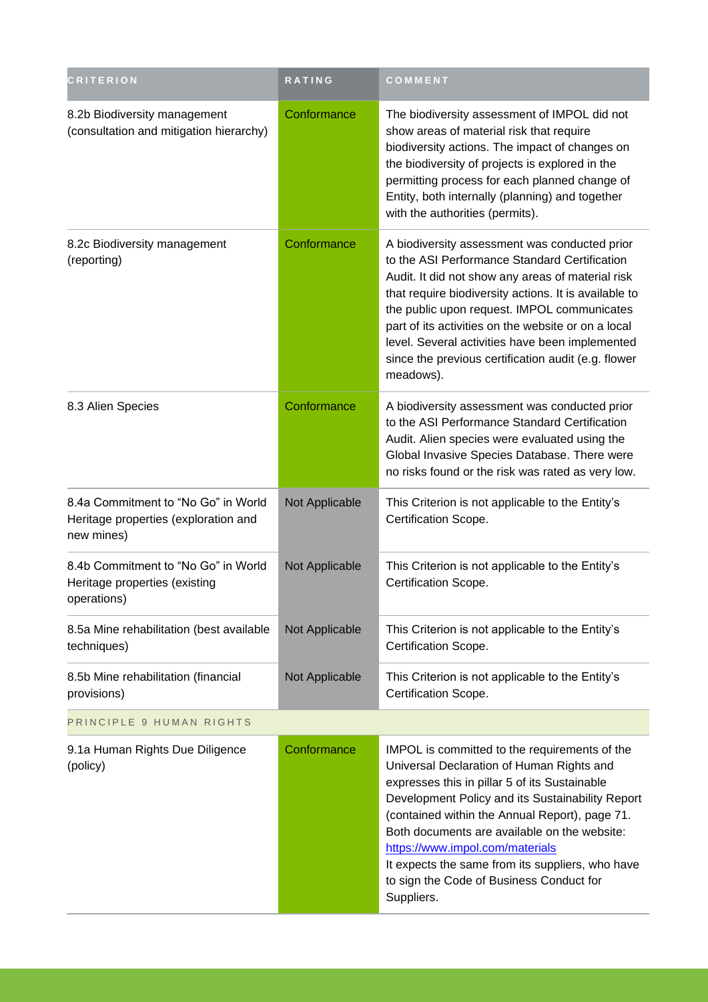| <b>CRITERION</b>                                                                          | RATING         | COMMENT                                                                                                                                                                                                                                                                                                                                                                                                                                            |
|-------------------------------------------------------------------------------------------|----------------|----------------------------------------------------------------------------------------------------------------------------------------------------------------------------------------------------------------------------------------------------------------------------------------------------------------------------------------------------------------------------------------------------------------------------------------------------|
| 8.2b Biodiversity management<br>(consultation and mitigation hierarchy)                   | Conformance    | The biodiversity assessment of IMPOL did not<br>show areas of material risk that require<br>biodiversity actions. The impact of changes on<br>the biodiversity of projects is explored in the<br>permitting process for each planned change of<br>Entity, both internally (planning) and together<br>with the authorities (permits).                                                                                                               |
| 8.2c Biodiversity management<br>(reporting)                                               | Conformance    | A biodiversity assessment was conducted prior<br>to the ASI Performance Standard Certification<br>Audit. It did not show any areas of material risk<br>that require biodiversity actions. It is available to<br>the public upon request. IMPOL communicates<br>part of its activities on the website or on a local<br>level. Several activities have been implemented<br>since the previous certification audit (e.g. flower<br>meadows).          |
| 8.3 Alien Species                                                                         | Conformance    | A biodiversity assessment was conducted prior<br>to the ASI Performance Standard Certification<br>Audit. Alien species were evaluated using the<br>Global Invasive Species Database. There were<br>no risks found or the risk was rated as very low.                                                                                                                                                                                               |
| 8.4a Commitment to "No Go" in World<br>Heritage properties (exploration and<br>new mines) | Not Applicable | This Criterion is not applicable to the Entity's<br>Certification Scope.                                                                                                                                                                                                                                                                                                                                                                           |
| 8.4b Commitment to "No Go" in World<br>Heritage properties (existing<br>operations)       | Not Applicable | This Criterion is not applicable to the Entity's<br>Certification Scope.                                                                                                                                                                                                                                                                                                                                                                           |
| 8.5a Mine rehabilitation (best available<br>techniques)                                   | Not Applicable | This Criterion is not applicable to the Entity's<br>Certification Scope.                                                                                                                                                                                                                                                                                                                                                                           |
| 8.5b Mine rehabilitation (financial<br>provisions)                                        | Not Applicable | This Criterion is not applicable to the Entity's<br>Certification Scope.                                                                                                                                                                                                                                                                                                                                                                           |
| PRINCIPLE 9 HUMAN RIGHTS                                                                  |                |                                                                                                                                                                                                                                                                                                                                                                                                                                                    |
| 9.1a Human Rights Due Diligence<br>(policy)                                               | Conformance    | IMPOL is committed to the requirements of the<br>Universal Declaration of Human Rights and<br>expresses this in pillar 5 of its Sustainable<br>Development Policy and its Sustainability Report<br>(contained within the Annual Report), page 71.<br>Both documents are available on the website:<br>https://www.impol.com/materials<br>It expects the same from its suppliers, who have<br>to sign the Code of Business Conduct for<br>Suppliers. |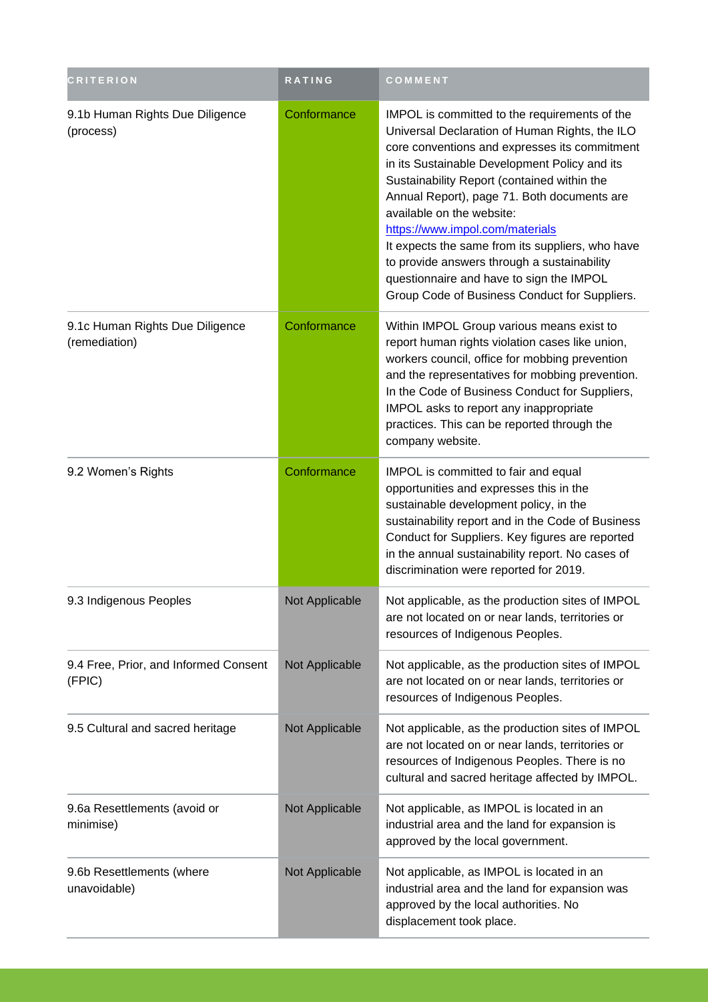| <b>CRITERION</b>                                 | RATING         | COMMENT                                                                                                                                                                                                                                                                                                                                                                                                                                                                                                                                                         |
|--------------------------------------------------|----------------|-----------------------------------------------------------------------------------------------------------------------------------------------------------------------------------------------------------------------------------------------------------------------------------------------------------------------------------------------------------------------------------------------------------------------------------------------------------------------------------------------------------------------------------------------------------------|
| 9.1b Human Rights Due Diligence<br>(process)     | Conformance    | IMPOL is committed to the requirements of the<br>Universal Declaration of Human Rights, the ILO<br>core conventions and expresses its commitment<br>in its Sustainable Development Policy and its<br>Sustainability Report (contained within the<br>Annual Report), page 71. Both documents are<br>available on the website:<br>https://www.impol.com/materials<br>It expects the same from its suppliers, who have<br>to provide answers through a sustainability<br>questionnaire and have to sign the IMPOL<br>Group Code of Business Conduct for Suppliers. |
| 9.1c Human Rights Due Diligence<br>(remediation) | Conformance    | Within IMPOL Group various means exist to<br>report human rights violation cases like union,<br>workers council, office for mobbing prevention<br>and the representatives for mobbing prevention.<br>In the Code of Business Conduct for Suppliers,<br>IMPOL asks to report any inappropriate<br>practices. This can be reported through the<br>company website.                                                                                                                                                                                                |
| 9.2 Women's Rights                               | Conformance    | IMPOL is committed to fair and equal<br>opportunities and expresses this in the<br>sustainable development policy, in the<br>sustainability report and in the Code of Business<br>Conduct for Suppliers. Key figures are reported<br>in the annual sustainability report. No cases of<br>discrimination were reported for 2019.                                                                                                                                                                                                                                 |
| 9.3 Indigenous Peoples                           | Not Applicable | Not applicable, as the production sites of IMPOL<br>are not located on or near lands, territories or<br>resources of Indigenous Peoples.                                                                                                                                                                                                                                                                                                                                                                                                                        |
| 9.4 Free, Prior, and Informed Consent<br>(FPIC)  | Not Applicable | Not applicable, as the production sites of IMPOL<br>are not located on or near lands, territories or<br>resources of Indigenous Peoples.                                                                                                                                                                                                                                                                                                                                                                                                                        |
| 9.5 Cultural and sacred heritage                 | Not Applicable | Not applicable, as the production sites of IMPOL<br>are not located on or near lands, territories or<br>resources of Indigenous Peoples. There is no<br>cultural and sacred heritage affected by IMPOL.                                                                                                                                                                                                                                                                                                                                                         |
| 9.6a Resettlements (avoid or<br>minimise)        | Not Applicable | Not applicable, as IMPOL is located in an<br>industrial area and the land for expansion is<br>approved by the local government.                                                                                                                                                                                                                                                                                                                                                                                                                                 |
| 9.6b Resettlements (where<br>unavoidable)        | Not Applicable | Not applicable, as IMPOL is located in an<br>industrial area and the land for expansion was<br>approved by the local authorities. No<br>displacement took place.                                                                                                                                                                                                                                                                                                                                                                                                |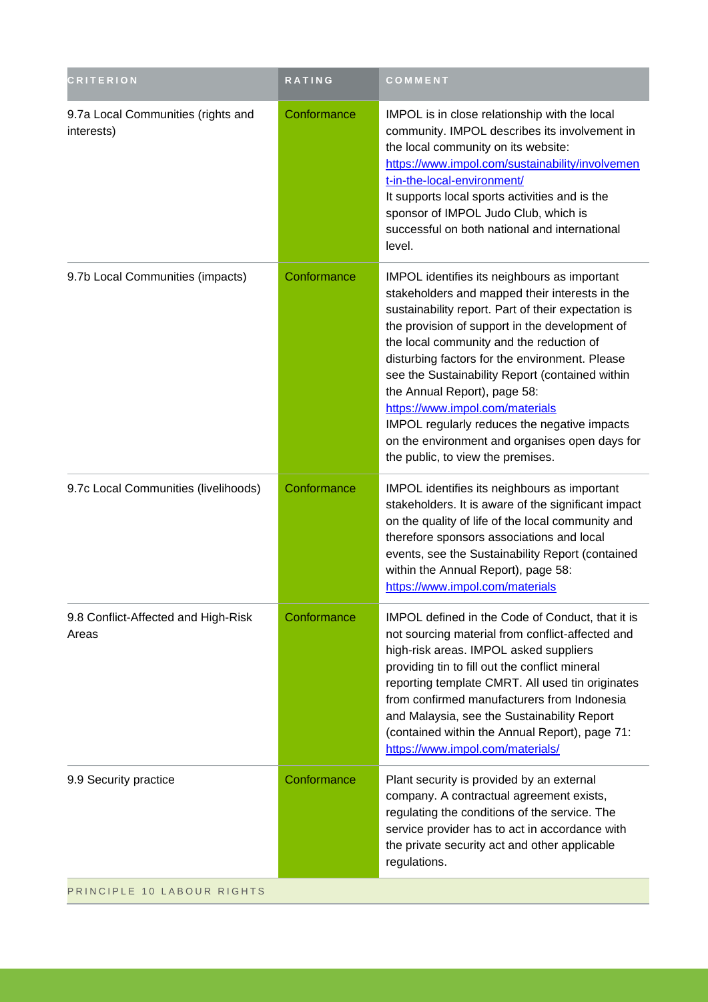| <b>CRITERION</b>                                    | RATING      | COMMENT                                                                                                                                                                                                                                                                                                                                                                                                                                                                                                                                                            |
|-----------------------------------------------------|-------------|--------------------------------------------------------------------------------------------------------------------------------------------------------------------------------------------------------------------------------------------------------------------------------------------------------------------------------------------------------------------------------------------------------------------------------------------------------------------------------------------------------------------------------------------------------------------|
| 9.7a Local Communities (rights and<br>interests)    | Conformance | IMPOL is in close relationship with the local<br>community. IMPOL describes its involvement in<br>the local community on its website:<br>https://www.impol.com/sustainability/involvemen<br>t-in-the-local-environment/<br>It supports local sports activities and is the<br>sponsor of IMPOL Judo Club, which is<br>successful on both national and international<br>level.                                                                                                                                                                                       |
| 9.7b Local Communities (impacts)                    | Conformance | IMPOL identifies its neighbours as important<br>stakeholders and mapped their interests in the<br>sustainability report. Part of their expectation is<br>the provision of support in the development of<br>the local community and the reduction of<br>disturbing factors for the environment. Please<br>see the Sustainability Report (contained within<br>the Annual Report), page 58:<br>https://www.impol.com/materials<br>IMPOL regularly reduces the negative impacts<br>on the environment and organises open days for<br>the public, to view the premises. |
| 9.7c Local Communities (livelihoods)                | Conformance | IMPOL identifies its neighbours as important<br>stakeholders. It is aware of the significant impact<br>on the quality of life of the local community and<br>therefore sponsors associations and local<br>events, see the Sustainability Report (contained<br>within the Annual Report), page 58:<br>https://www.impol.com/materials                                                                                                                                                                                                                                |
| 9.8 Conflict-Affected and High-Risk<br>Areas        | Conformance | IMPOL defined in the Code of Conduct, that it is<br>not sourcing material from conflict-affected and<br>high-risk areas. IMPOL asked suppliers<br>providing tin to fill out the conflict mineral<br>reporting template CMRT. All used tin originates<br>from confirmed manufacturers from Indonesia<br>and Malaysia, see the Sustainability Report<br>(contained within the Annual Report), page 71:<br>https://www.impol.com/materials/                                                                                                                           |
| 9.9 Security practice<br>PRINCIPLE 10 LABOUR RIGHTS | Conformance | Plant security is provided by an external<br>company. A contractual agreement exists,<br>regulating the conditions of the service. The<br>service provider has to act in accordance with<br>the private security act and other applicable<br>regulations.                                                                                                                                                                                                                                                                                                          |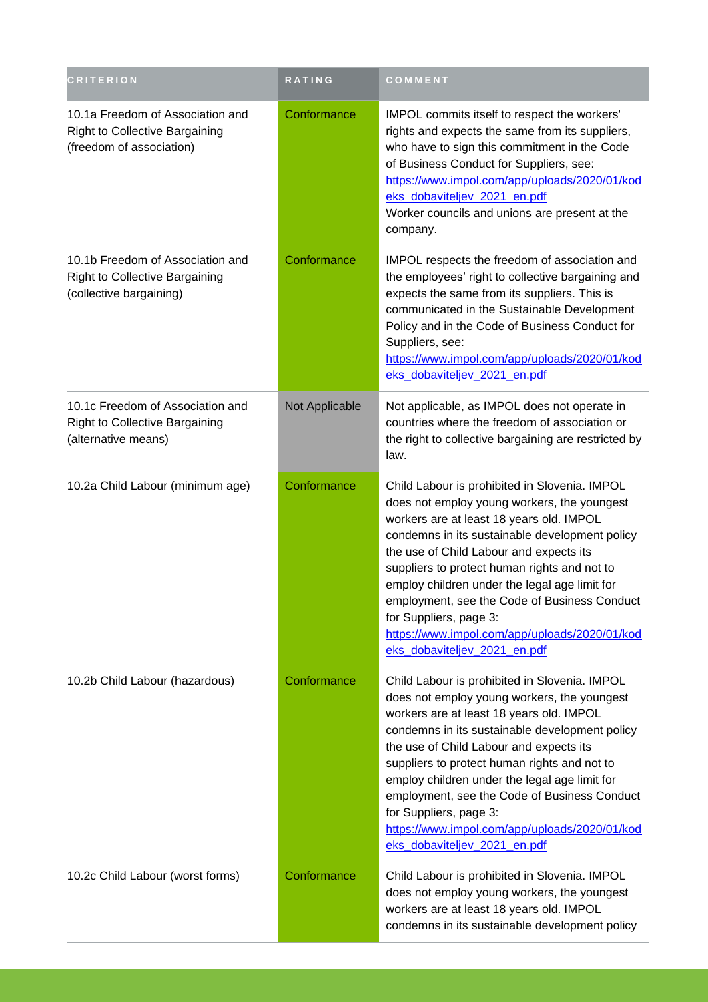| <b>CRITERION</b>                                                                                      | RATING         | COMMENT                                                                                                                                                                                                                                                                                                                                                                                                                                                                                           |
|-------------------------------------------------------------------------------------------------------|----------------|---------------------------------------------------------------------------------------------------------------------------------------------------------------------------------------------------------------------------------------------------------------------------------------------------------------------------------------------------------------------------------------------------------------------------------------------------------------------------------------------------|
| 10.1a Freedom of Association and<br><b>Right to Collective Bargaining</b><br>(freedom of association) | Conformance    | IMPOL commits itself to respect the workers'<br>rights and expects the same from its suppliers,<br>who have to sign this commitment in the Code<br>of Business Conduct for Suppliers, see:<br>https://www.impol.com/app/uploads/2020/01/kod<br>eks_dobaviteljev_2021_en.pdf<br>Worker councils and unions are present at the<br>company.                                                                                                                                                          |
| 10.1b Freedom of Association and<br><b>Right to Collective Bargaining</b><br>(collective bargaining)  | Conformance    | IMPOL respects the freedom of association and<br>the employees' right to collective bargaining and<br>expects the same from its suppliers. This is<br>communicated in the Sustainable Development<br>Policy and in the Code of Business Conduct for<br>Suppliers, see:<br>https://www.impol.com/app/uploads/2020/01/kod<br>eks_dobaviteljev_2021_en.pdf                                                                                                                                           |
| 10.1c Freedom of Association and<br><b>Right to Collective Bargaining</b><br>(alternative means)      | Not Applicable | Not applicable, as IMPOL does not operate in<br>countries where the freedom of association or<br>the right to collective bargaining are restricted by<br>law.                                                                                                                                                                                                                                                                                                                                     |
| 10.2a Child Labour (minimum age)                                                                      | Conformance    | Child Labour is prohibited in Slovenia. IMPOL<br>does not employ young workers, the youngest<br>workers are at least 18 years old. IMPOL<br>condemns in its sustainable development policy<br>the use of Child Labour and expects its<br>suppliers to protect human rights and not to<br>employ children under the legal age limit for<br>employment, see the Code of Business Conduct<br>for Suppliers, page 3:<br>https://www.impol.com/app/uploads/2020/01/kod<br>eks_dobaviteljev_2021_en.pdf |
| 10.2b Child Labour (hazardous)                                                                        | Conformance    | Child Labour is prohibited in Slovenia. IMPOL<br>does not employ young workers, the youngest<br>workers are at least 18 years old. IMPOL<br>condemns in its sustainable development policy<br>the use of Child Labour and expects its<br>suppliers to protect human rights and not to<br>employ children under the legal age limit for<br>employment, see the Code of Business Conduct<br>for Suppliers, page 3:<br>https://www.impol.com/app/uploads/2020/01/kod<br>eks_dobaviteljev_2021_en.pdf |
| 10.2c Child Labour (worst forms)                                                                      | Conformance    | Child Labour is prohibited in Slovenia. IMPOL<br>does not employ young workers, the youngest<br>workers are at least 18 years old. IMPOL<br>condemns in its sustainable development policy                                                                                                                                                                                                                                                                                                        |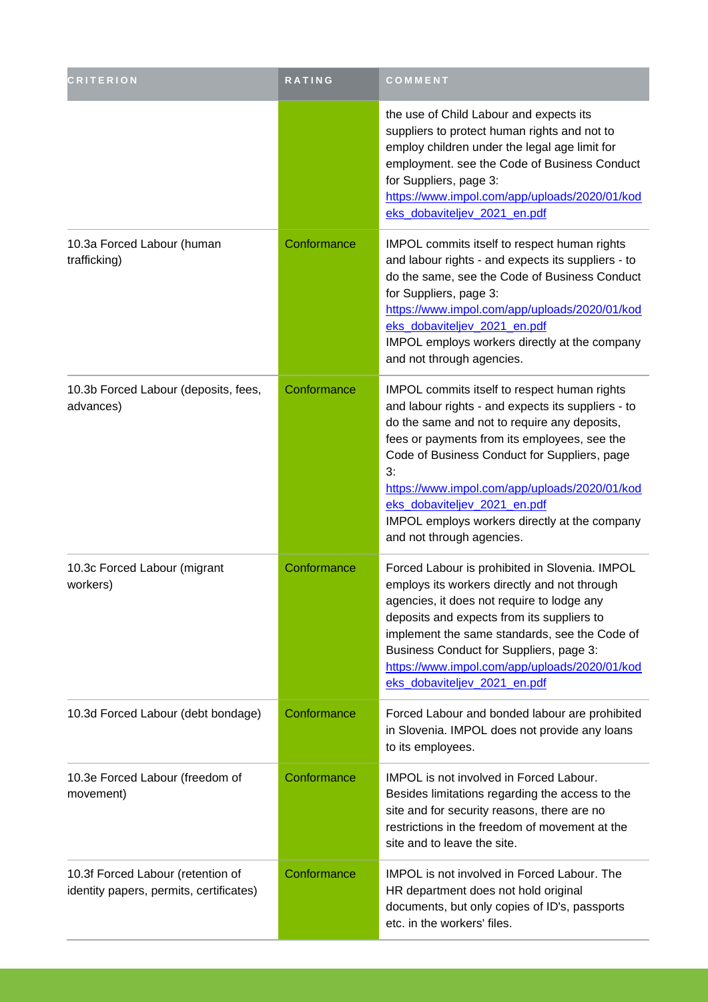| <b>CRITERION</b>                                                             | RATING      | COMMENT                                                                                                                                                                                                                                                                                                                                                                                                                 |
|------------------------------------------------------------------------------|-------------|-------------------------------------------------------------------------------------------------------------------------------------------------------------------------------------------------------------------------------------------------------------------------------------------------------------------------------------------------------------------------------------------------------------------------|
|                                                                              |             | the use of Child Labour and expects its<br>suppliers to protect human rights and not to<br>employ children under the legal age limit for<br>employment. see the Code of Business Conduct<br>for Suppliers, page 3:<br>https://www.impol.com/app/uploads/2020/01/kod<br>eks_dobaviteljev_2021_en.pdf                                                                                                                     |
| 10.3a Forced Labour (human<br>trafficking)                                   | Conformance | IMPOL commits itself to respect human rights<br>and labour rights - and expects its suppliers - to<br>do the same, see the Code of Business Conduct<br>for Suppliers, page 3:<br>https://www.impol.com/app/uploads/2020/01/kod<br>eks_dobaviteljev_2021_en.pdf<br>IMPOL employs workers directly at the company<br>and not through agencies.                                                                            |
| 10.3b Forced Labour (deposits, fees,<br>advances)                            | Conformance | IMPOL commits itself to respect human rights<br>and labour rights - and expects its suppliers - to<br>do the same and not to require any deposits,<br>fees or payments from its employees, see the<br>Code of Business Conduct for Suppliers, page<br>3:<br>https://www.impol.com/app/uploads/2020/01/kod<br>eks_dobaviteljev_2021_en.pdf<br>IMPOL employs workers directly at the company<br>and not through agencies. |
| 10.3c Forced Labour (migrant<br>workers)                                     | Conformance | Forced Labour is prohibited in Slovenia. IMPOL<br>employs its workers directly and not through<br>agencies, it does not require to lodge any<br>deposits and expects from its suppliers to<br>implement the same standards, see the Code of<br>Business Conduct for Suppliers, page 3:<br>https://www.impol.com/app/uploads/2020/01/kod<br>eks_dobaviteljev_2021_en.pdf                                                 |
| 10.3d Forced Labour (debt bondage)                                           | Conformance | Forced Labour and bonded labour are prohibited<br>in Slovenia. IMPOL does not provide any loans<br>to its employees.                                                                                                                                                                                                                                                                                                    |
| 10.3e Forced Labour (freedom of<br>movement)                                 | Conformance | <b>IMPOL</b> is not involved in Forced Labour.<br>Besides limitations regarding the access to the<br>site and for security reasons, there are no<br>restrictions in the freedom of movement at the<br>site and to leave the site.                                                                                                                                                                                       |
| 10.3f Forced Labour (retention of<br>identity papers, permits, certificates) | Conformance | <b>IMPOL</b> is not involved in Forced Labour. The<br>HR department does not hold original<br>documents, but only copies of ID's, passports<br>etc. in the workers' files.                                                                                                                                                                                                                                              |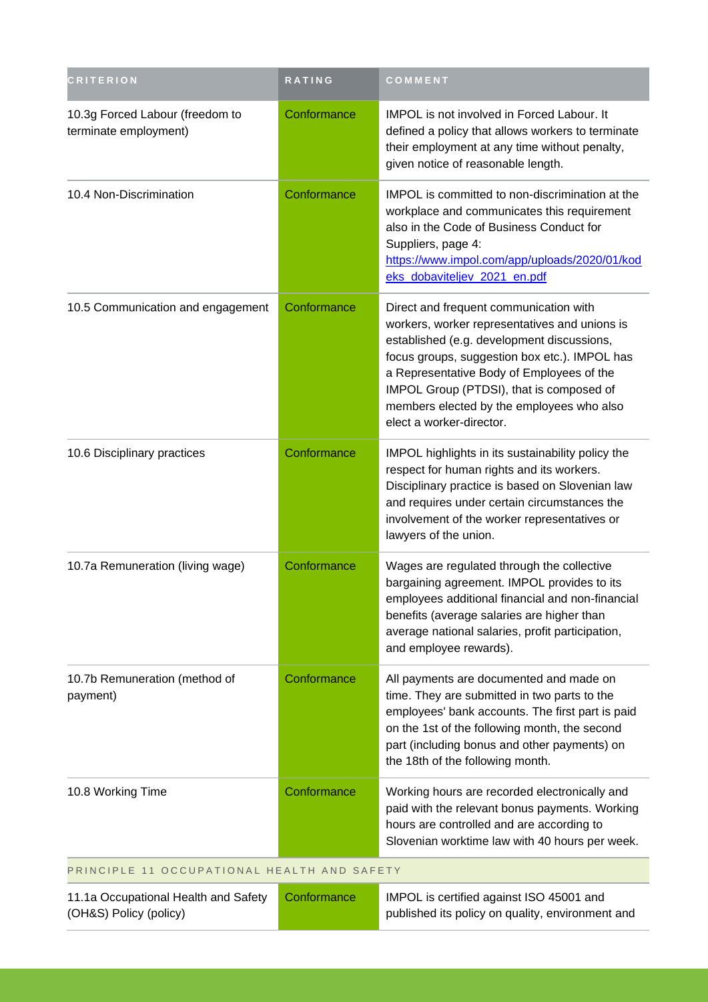| <b>CRITERION</b>                                               | <b>RATING</b> | COMMENT                                                                                                                                                                                                                                                                                                                                                  |  |
|----------------------------------------------------------------|---------------|----------------------------------------------------------------------------------------------------------------------------------------------------------------------------------------------------------------------------------------------------------------------------------------------------------------------------------------------------------|--|
| 10.3g Forced Labour (freedom to<br>terminate employment)       | Conformance   | IMPOL is not involved in Forced Labour. It<br>defined a policy that allows workers to terminate<br>their employment at any time without penalty,<br>given notice of reasonable length.                                                                                                                                                                   |  |
| 10.4 Non-Discrimination                                        | Conformance   | IMPOL is committed to non-discrimination at the<br>workplace and communicates this requirement<br>also in the Code of Business Conduct for<br>Suppliers, page 4:<br>https://www.impol.com/app/uploads/2020/01/kod<br>eks dobaviteljev 2021 en.pdf                                                                                                        |  |
| 10.5 Communication and engagement                              | Conformance   | Direct and frequent communication with<br>workers, worker representatives and unions is<br>established (e.g. development discussions,<br>focus groups, suggestion box etc.). IMPOL has<br>a Representative Body of Employees of the<br>IMPOL Group (PTDSI), that is composed of<br>members elected by the employees who also<br>elect a worker-director. |  |
| 10.6 Disciplinary practices                                    | Conformance   | IMPOL highlights in its sustainability policy the<br>respect for human rights and its workers.<br>Disciplinary practice is based on Slovenian law<br>and requires under certain circumstances the<br>involvement of the worker representatives or<br>lawyers of the union.                                                                               |  |
| 10.7a Remuneration (living wage)                               | Conformance   | Wages are regulated through the collective<br>bargaining agreement. IMPOL provides to its<br>employees additional financial and non-financial<br>benefits (average salaries are higher than<br>average national salaries, profit participation,<br>and employee rewards).                                                                                |  |
| 10.7b Remuneration (method of<br>payment)                      | Conformance   | All payments are documented and made on<br>time. They are submitted in two parts to the<br>employees' bank accounts. The first part is paid<br>on the 1st of the following month, the second<br>part (including bonus and other payments) on<br>the 18th of the following month.                                                                         |  |
| 10.8 Working Time                                              | Conformance   | Working hours are recorded electronically and<br>paid with the relevant bonus payments. Working<br>hours are controlled and are according to<br>Slovenian worktime law with 40 hours per week.                                                                                                                                                           |  |
| PRINCIPLE 11 OCCUPATIONAL HEALTH AND SAFETY                    |               |                                                                                                                                                                                                                                                                                                                                                          |  |
| 11.1a Occupational Health and Safety<br>(OH&S) Policy (policy) | Conformance   | IMPOL is certified against ISO 45001 and<br>published its policy on quality, environment and                                                                                                                                                                                                                                                             |  |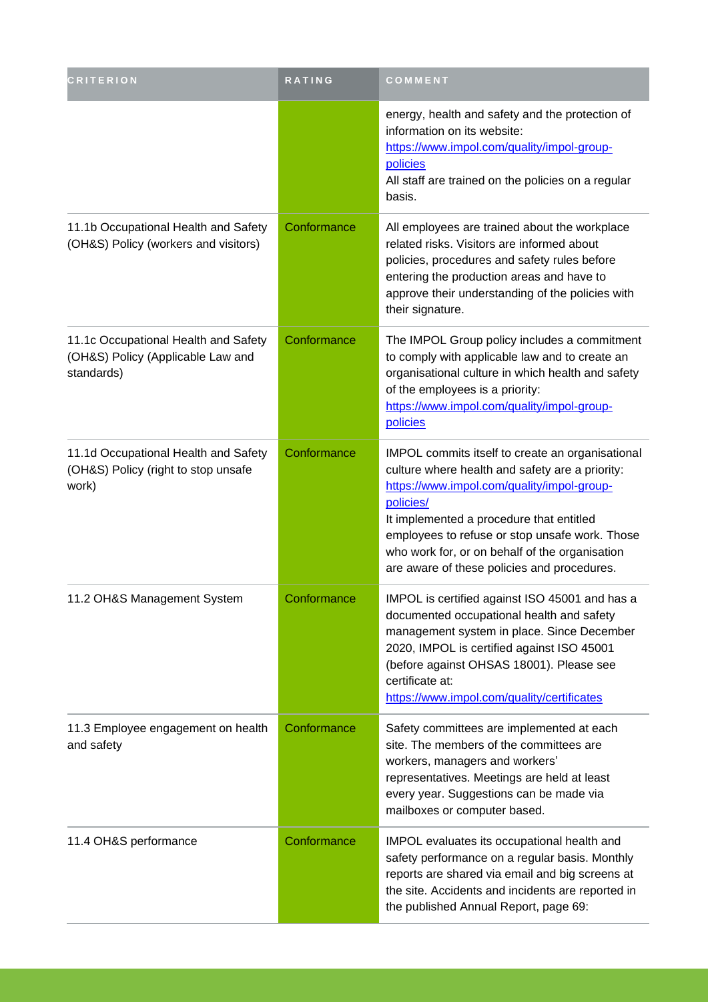| <b>CRITERION</b>                                                                        | <b>RATING</b> | COMMENT                                                                                                                                                                                                                                                                                                                                                       |
|-----------------------------------------------------------------------------------------|---------------|---------------------------------------------------------------------------------------------------------------------------------------------------------------------------------------------------------------------------------------------------------------------------------------------------------------------------------------------------------------|
|                                                                                         |               | energy, health and safety and the protection of<br>information on its website:<br>https://www.impol.com/quality/impol-group-<br>policies<br>All staff are trained on the policies on a regular<br>basis.                                                                                                                                                      |
| 11.1b Occupational Health and Safety<br>(OH&S) Policy (workers and visitors)            | Conformance   | All employees are trained about the workplace<br>related risks. Visitors are informed about<br>policies, procedures and safety rules before<br>entering the production areas and have to<br>approve their understanding of the policies with<br>their signature.                                                                                              |
| 11.1c Occupational Health and Safety<br>(OH&S) Policy (Applicable Law and<br>standards) | Conformance   | The IMPOL Group policy includes a commitment<br>to comply with applicable law and to create an<br>organisational culture in which health and safety<br>of the employees is a priority:<br>https://www.impol.com/quality/impol-group-<br>policies                                                                                                              |
| 11.1d Occupational Health and Safety<br>(OH&S) Policy (right to stop unsafe<br>work)    | Conformance   | IMPOL commits itself to create an organisational<br>culture where health and safety are a priority:<br>https://www.impol.com/quality/impol-group-<br>policies/<br>It implemented a procedure that entitled<br>employees to refuse or stop unsafe work. Those<br>who work for, or on behalf of the organisation<br>are aware of these policies and procedures. |
| 11.2 OH&S Management System                                                             | Conformance   | IMPOL is certified against ISO 45001 and has a<br>documented occupational health and safety<br>management system in place. Since December<br>2020, IMPOL is certified against ISO 45001<br>(before against OHSAS 18001). Please see<br>certificate at:<br>https://www.impol.com/quality/certificates                                                          |
| 11.3 Employee engagement on health<br>and safety                                        | Conformance   | Safety committees are implemented at each<br>site. The members of the committees are<br>workers, managers and workers'<br>representatives. Meetings are held at least<br>every year. Suggestions can be made via<br>mailboxes or computer based.                                                                                                              |
| 11.4 OH&S performance                                                                   | Conformance   | IMPOL evaluates its occupational health and<br>safety performance on a regular basis. Monthly<br>reports are shared via email and big screens at<br>the site. Accidents and incidents are reported in<br>the published Annual Report, page 69:                                                                                                                |